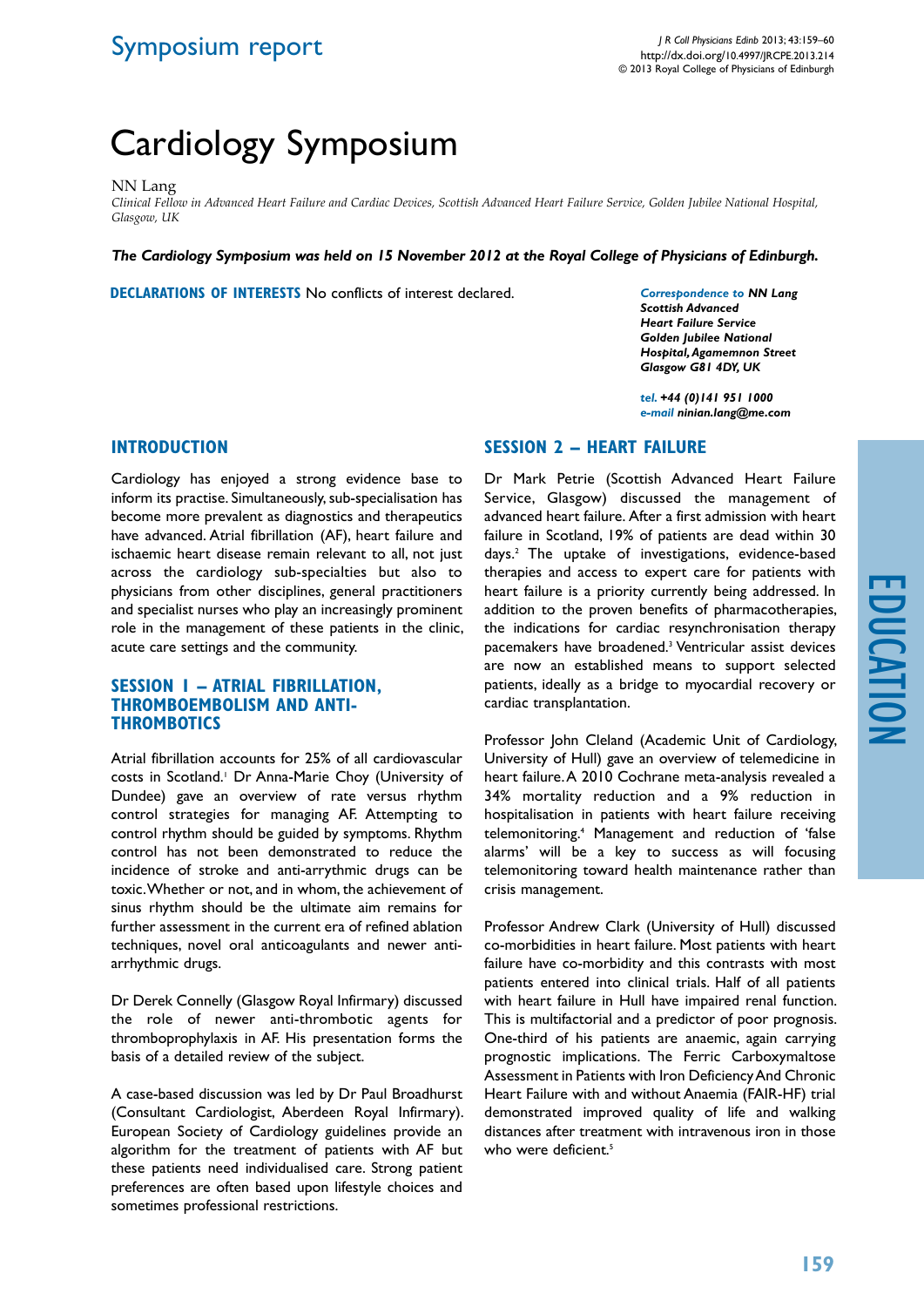# Cardiology Symposium

### NN Lang

*Clinical Fellow in Advanced Heart Failure and Cardiac Devices, Scottish Advanced Heart Failure Service, Golden Jubilee National Hospital, Glasgow, UK*

*The Cardiology Symposium was held on 15 November 2012 at the Royal College of Physicians of Edinburgh.*

**Declarations of Interests** No conflicts of interest declared.

*Correspondence to NN Lang Scottish Advanced Heart Failure Service Golden Jubilee National Hospital, Agamemnon Street Glasgow G81 4DY, UK*

*tel. +44 (0)141 951 1000 e-mail ninian.lang@me.com*

### **INTRODUCTION**

## **SESSION 2 – HEART FAILURE**

Cardiology has enjoyed a strong evidence base to inform its practise. Simultaneously, sub-specialisation has become more prevalent as diagnostics and therapeutics have advanced. Atrial fibrillation (AF), heart failure and ischaemic heart disease remain relevant to all, not just across the cardiology sub-specialties but also to physicians from other disciplines, general practitioners and specialist nurses who play an increasingly prominent role in the management of these patients in the clinic, acute care settings and the community.

### **SESSION 1 – ATRIAL FIBRILLATION, THROMBOEMBOLISM AND ANTI-THROMBOTICS**

Atrial fibrillation accounts for 25% of all cardiovascular costs in Scotland.<sup>1</sup> Dr Anna-Marie Choy (University of Dundee) gave an overview of rate versus rhythm control strategies for managing AF. Attempting to control rhythm should be guided by symptoms. Rhythm control has not been demonstrated to reduce the incidence of stroke and anti-arrythmic drugs can be toxic. Whether or not, and in whom, the achievement of sinus rhythm should be the ultimate aim remains for further assessment in the current era of refined ablation techniques, novel oral anticoagulants and newer antiarrhythmic drugs.

Dr Derek Connelly (Glasgow Royal Infirmary) discussed the role of newer anti-thrombotic agents for thromboprophylaxis in AF. His presentation forms the basis of a detailed review of the subject.

A case-based discussion was led by Dr Paul Broadhurst (Consultant Cardiologist, Aberdeen Royal Infirmary). European Society of Cardiology guidelines provide an algorithm for the treatment of patients with AF but these patients need individualised care. Strong patient preferences are often based upon lifestyle choices and sometimes professional restrictions.

Dr Mark Petrie (Scottish Advanced Heart Failure Service, Glasgow) discussed the management of advanced heart failure. After a first admission with heart failure in Scotland, 19% of patients are dead within 30 days.2 The uptake of investigations, evidence-based therapies and access to expert care for patients with heart failure is a priority currently being addressed. In addition to the proven benefits of pharmacotherapies, the indications for cardiac resynchronisation therapy pacemakers have broadened.3 Ventricular assist devices are now an established means to support selected patients, ideally as a bridge to myocardial recovery or cardiac transplantation.

Professor John Cleland (Academic Unit of Cardiology, University of Hull) gave an overview of telemedicine in heart failure. A 2010 Cochrane meta-analysis revealed a 34% mortality reduction and a 9% reduction in hospitalisation in patients with heart failure receiving telemonitoring.4 Management and reduction of 'false alarms' will be a key to success as will focusing telemonitoring toward health maintenance rather than crisis management.

Professor Andrew Clark (University of Hull) discussed co-morbidities in heart failure. Most patients with heart failure have co-morbidity and this contrasts with most patients entered into clinical trials. Half of all patients with heart failure in Hull have impaired renal function. This is multifactorial and a predictor of poor prognosis. One-third of his patients are anaemic, again carrying prognostic implications. The Ferric Carboxymaltose Assessment in Patients with Iron Deficiency And Chronic Heart Failure with and without Anaemia (FAIR-HF) trial demonstrated improved quality of life and walking distances after treatment with intravenous iron in those who were deficient.<sup>5</sup>